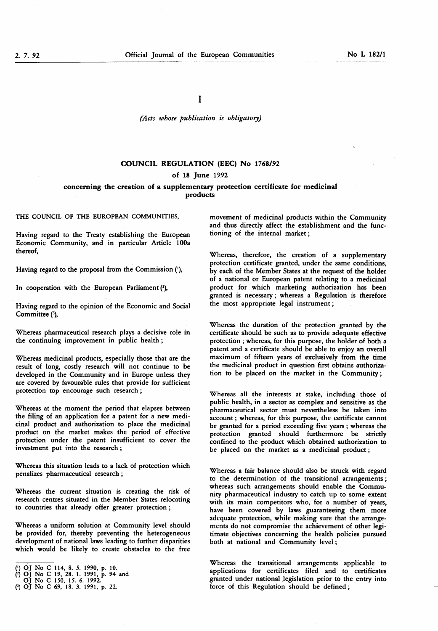# (Acts whose publication is obligatory)

# COUNCIL REGULATION (EEC) No 1768/92

# of 18 June 1992

# concerning the creation of a supplementary protection certificate for medicinal products

THE COUNCIL OF THE EUROPEAN COMMUNITIES,

Having regard to the Treaty establishing the European Economic Community, and in particular Article 100a thereof,

Having regard to the proposal from the Commission ('),

In cooperation with the European Parliament  $(2)$ ,

Having regard to the opinion of the Economic and Social Committee (3),

Whereas pharmaceutical research plays a decisive role in the continuing improvement in public health ;

Whereas medicinal products, especially those that are the result of long, costly research will not continue to be developed in the Community and in Europe unless they are covered by favourable rules that provide for sufficient protection top encourage such research ;

Whereas at the moment the period that elapses between the filing of an application for a patent for a new medicinal product and authorization to place the medicinal product on the market makes the period of effective protection under the patent insufficient to cover the investment put into the research ;

Whereas this situation leads to a lack of protection which penalizes pharmaceutical research ;

Whereas the current situation is creating the risk of research centres situated in the Member States relocating to countries that already offer greater protection ;

Whereas a uniform solution at Community level should be provided for, thereby preventing the heterogeneous development of national laws leading to further disparities which would be likely to create obstacles to the free movement of medicinal products within the Community and thus directly affect the establishment and the functioning of the internal market ;

Whereas, therefore, the creation of a supplementary protection certificate granted, under the same conditions, by each of the Member States at the request of the holder of a national or European patent relating to a medicinal product for which marketing authorization has been granted is necessary ; whereas a Regulation is therefore the most appropriate legal instrument ;

Whereas the duration of the protection granted by the certificate should be such as to provide adequate effective protection ; whereas, for this purpose, the holder of both a patent and a certificate should be able to enjoy an overall maximum of fifteen years of exclusively from the time the medicinal product in question first obtains authorization to be placed on the market in the Community ;

Whereas all the interests at stake, including those of public health, in a sector as complex and sensitive as the pharmaceutical sector must nevertheless be taken into account ; whereas, for this purpose, the certificate cannot be granted for a period exceeding five years ; whereas the protection granted should furthermore be stricdy confined to the product which obtained authorization to be placed on the market as a medicinal product ;

Whereas a fair balance should also be struck with regard to the determination of the transitional arrangements ; whereas such arrangements should enable the Community pharmaceutical industry to catch up to some extent with its main competitors who, for a number of years, have been covered by laws guaranteeing them more adequate protection, while making sure that the arrangements do not compromise the achievement of other legitimate objectives concerning the health policies pursued both at national and Community level ;

Whereas the transitional arrangements applicable to applications for certificates filed and to certificates granted under national legislation prior to the entry into force of this Regulation should be defined ;

<sup>(&#</sup>x27;) OJ No C 114, 8. 5. 1990, p. 10.

<sup>(3)</sup> OJ No C 11, 0. 3. 1330, p. 10.<br>
(3) OJ No C 19, 28. 1. 1991, p. 94 and<br>
OJ No C 150, 15. 6. 1992.

<sup>(3)</sup> OJ No C 69, 18. 3. 1991, p. 22.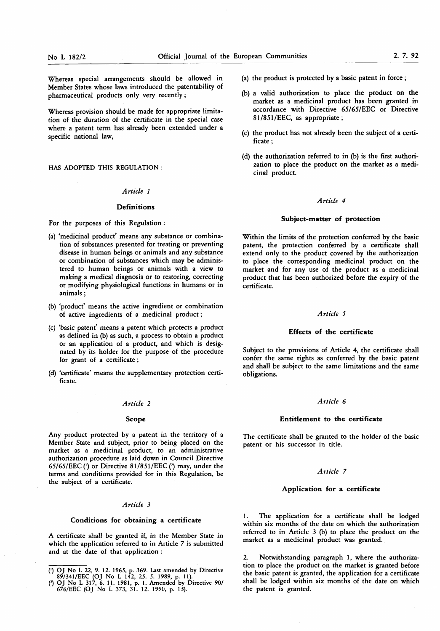Whereas special arrangements should be allowed in Member States whose laws introduced the patentability of pharmaceutical products only very recently ;

Whereas provision should be made for appropriate limitation of the duration of the certificate in the special case where a patent term has already been extended under a specific national law,

HAS ADOPTED THIS REGULATION :

#### Article <sup>1</sup>

# Definitions

For the purposes of this Regulation :

- (a) 'medicinal product' means any substance or combination of substances presented for treating or preventing disease in human beings or animals and any substance or combination of substances which may be administered to human beings or animals with a view to making a medical diagnosis or to restoring, correcting or modifying physiological functions in humans or in animals ;
- (b) 'product' means the active ingredient or combination of active ingredients of a medicinal product ;
- (c) 'basic patent' means a patent which protects a product as defined in (b) as such, a process to obtain a product or an application of a product, and which is designated by its holder for the purpose of the procedure for grant of a certificate ;
- (d) 'certificate' means the supplementary protection certificate.

#### Article 2

#### Scope

Any product protected by a patent in the territory of a Member State and subject, prior to being placed on the market as a medicinal product, to an administrative authorization procedure as laid down in Council Directive 65/65/EEC ( $\overrightarrow{0}$  or Directive 81/851/EEC ( $\overrightarrow{2}$ ) may, under the terms and conditions provided for in this Regulation, be the subject of a certificate.

# Article 3

# Conditions for obtaining a certificate

A certificate shall be granted if, in the Member State in which the application referred to in Article 7 is submitted and at the date of that application :

- (a) the product is protected by a basic patent in force ;
- (b) a valid authorization to place the product on the market as a medicinal product has been granted in accordance with Directive 65/65/EEC or Directive 81/851/EEC, as appropriate;
- (c) the product has not already been the subject of a certificate ;
- (d) the authorization referred to in (b) is the first authorization to place the product on the market as a medicinal product.

# Article 4

#### Subject-matter of protection

Within the limits of the protection conferred by the basic patent, the protection conferred by a certificate shall extend only to the product covered by the authorization to place the corresponding medicinal product on the market and for any use of the product as a medicinal product that has been authorized before the expiry of the certificate.

# Article 5

# Effects of the certificate

Subject to the provisions of Article 4, the certificate shall confer the same rights as conferred by the basic patent and shall be subject to the same limitations and the same obligations.

#### Article 6

#### Entitlement to the certificate

The certificate shall be granted to the holder of the basic patent or his successor in title.

#### Article 7

#### Application for a certificate

The application for a certificate shall be lodged within six months of the date on which the authorization referred to in Article 3 (b) to place the product on the market as a medicinal product was granted.

2. Notwithstanding paragraph 1, where the authorization to place the product on the market is granted before the basic patent is granted, the application for a certificate shall be lodged within six months of the date on which the patent is granted.

<sup>(&#</sup>x27;) OJ No L 22, 9. 12. 1965, p. 369. Last amended by Directive 89/341 /EEC (OJ No L 142, 25. 5. 1989, p. <sup>11</sup> ).

<sup>(2)</sup> OJ No L 317, 6. <sup>11</sup> . 1981 , p. <sup>1</sup> . Amended by Directive 90/ 676/EEC (OJ No <sup>L</sup> 373, <sup>31</sup> . 12. 1990, p. 15).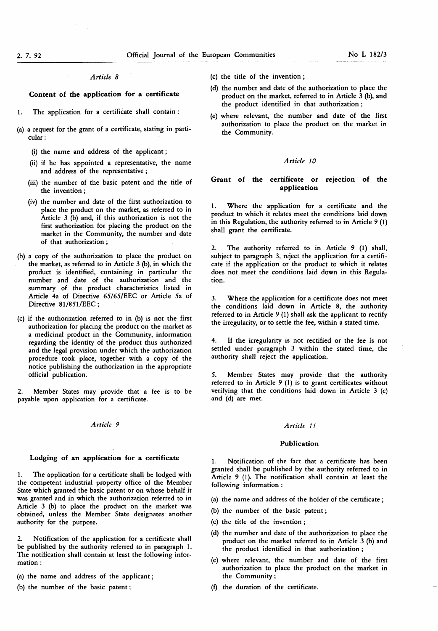#### Article 8

# Content of the application for a certificate

- 1. The application for a certificate shall contain:
- (a) a request for the grant of a certificate, stating in particular :
	- (i) the name and address of the applicant ;
	- (ii) if he has appointed a representative, the name and address of the representative ;
	- (iii) the number of the basic patent and the title of the invention ;
	- (iv) the number and date of the first authorization to place the product on the market, as referred to in Article 3 (b) and, if this authorization is not the first authorization for placing the product on the market in the Community, the number and date of that authorization ;
- (b) a copy of the authorization to place the product on the market, as referred to in Article 3 (b), in which the product is identified, containing in particular the number and date of the authorization and the summary of the product characteristics listed in Article 4a of Directive 65/65/EEC or Article 5a of Directive 81/851/EEC;
- (c) if the authorization referred to in (b) is not the first authorization for placing the product on the market as a medicinal product in the Community, information regarding the identity of the product thus authorized and the legal provision under which the authorization procedure took place, together with a copy of the notice publishing the authorization in the appropriate official publication.

2. Member States may provide that a fee is to be payable upon application for a certificate.

# Article 9 Article 11

### Lodging of an application for a certificate

1. The application for a certificate shall be lodged with the competent industrial property office of the Member State which granted the basic patent or on whose behalf it was granted and in which the authorization referred to in Article 3 (b) to place the product on the market was obtained, unless the Member State designates another authority for the purpose.

2. Notification of the application for a certificate shall be published by the authority referred to in paragraph 1. The notification shall contain at least the following information :

- (a) the name and address of the applicant ;
- (b) the number of the basic patent ;
- (c) the title of the invention ;
- (d) the number and date of the authorization to place the product on the market, referred to in Article  $\overline{3}$  (b), and the product identified in that authorization ;
- (e) where relevant, the number and date of the first authorization to place the product on the market in the Community.

# Article 10

# Grant of the certificate or rejection of the application

1. Where the application for a certificate and the product to which it relates meet the conditions laid down in this Regulation, the authority referred to in Article  $9(1)$ shall grant the certificate.

The authority referred to in Article 9 (1) shall, subject to paragraph 3, reject the application for a certificate if the application or the product to which it relates does not meet the conditions laid down in this Regulation.

3. Where the application for a certificate does not meet the conditions laid down in Article 8, the authority referred to in Article  $9(1)$  shall ask the applicant to rectify the irregularity, or to settle the fee, within a stated time.

4. If the irregularity is not rectified or the fee is not settled under paragraph 3 within the stated time, the authority shall reject the application.

5. Member States may provide that the authority referred to in Article 9 (1) is to grant certificates without verifying that the conditions laid down in Article 3 (c) and (d) are met.

#### Publication

1. Notification of the fact that a certificate has been granted shall be published by the authority referred to in Article 9 (1). The notification shall contain at least the following information :

(a) the name and address of the holder of the certificate ;

- (b) the number of the basic patent ;
- (c) the title of the invention ;
- (d) the number and date of the authorization to place the product on the market referred to in Article 3 (b) and the product identified in that authorization ;
- (e) where relevant, the number and date of the first authorization to place the product on the market in the Community ;
- (f) the duration of the certificate.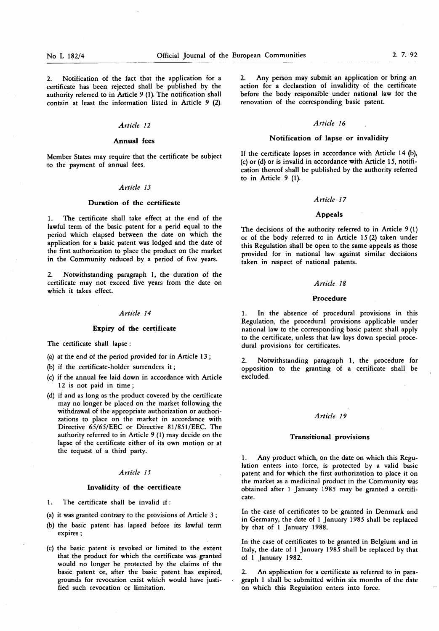2. Notification of the fact that the application for a certificate has been rejected shall be published by the authority referred to in Article  $9$  (1). The notification shall contain at least the information listed in Article 9 (2).

### Article 12

#### Annual fees

Member States may require that the certificate be subject to the payment of annual fees.

# Article 13

#### Duration of the certificate

1. The certificate shall take effect at the end of the lawful term of the basic patent for a perid equal to the period which elapsed between the date on which the application for a basic patent was lodged and the date of the first authorization to place the product on the market in the Community reduced by a period of five years.

2. Notwithstanding paragraph 1, the duration of the certificate may not exceed five years from the date on which it takes effect.

#### Article 14

#### Expiry of the certificate

The certificate shall lapse :

(a) at the end of the period provided for in Article  $13$ ;

(b) if the certificate-holder surrenders it ;

- (c) if the annual fee laid down in accordance with Article 12 is not paid in time;
- (d) if and as long as the product covered by the certificate may no longer be placed on the market following the withdrawal of the appropriate authorization or authorizations to place on the market in accordance with Directive 65/65/EEC or Directive 81/851/EEC. The authority referred to in Article 9 (1) may decide on the lapse of the certificate either of its own motion or at the request of a third party.

# Article 15

#### Invalidity of the certificate

1. The certificate shall be invalid if:

- (a) it was granted contrary to the provisions of Article 3 ;
- (b) the basic patent has lapsed before its lawful term expires ;
- (c) the basic patent is revoked or limited to the extent that the product for which the certificate was granted would no longer be protected by the claims of the basic patent or, after the basic patent has expired, grounds for revocation exist which would have justified such revocation or limitation.

Any person may submit an application or bring an action for a declaration of invalidity of the certificate before the body responsible under national law for the renovation of the corresponding basic patent.

# Article 16

# Notification of lapse or invalidity

If the certificate lapses in accordance with Article 14 (b), (c) or (d) or is invalid in accordance with Article 15, notification thereof shall be published by the authority referred to in Article  $9(1)$ .

#### Article 17

# Appeals

The decisions of the authority referred to in Article  $9(1)$ or of the body referred to in Article  $15(2)$  taken under this Regulation shall be open to the same appeals as those provided for in national law against similar decisions taken in respect of national patents.

### Article 18

#### Procedure

1. In the absence of procedural provisions in this Regulation, the procedural provisions applicable under national law to the corresponding basic patent shall apply to the certificate, unless that law lays down special procedural provisions for certificates.

2. Notwithstanding paragraph 1, the procedure for opposition to the granting of a certificate shall be excluded.

# Article 19

#### Transitional provisions

1. Any product which, on the date on which this Regulation enters into force, is protected by a valid basic patent and for which the first authorization to place it on the market as a medicinal product in the Community was obtained after <sup>1</sup> January 1985 may be granted a certificate.

In the case of certificates to be granted in Denmark and in Germany, the date of <sup>1</sup> January 1985 shall be replaced by that of 1 January 1988.

In the case of certificates to be granted in Belgium and in Italy, the date of <sup>1</sup> January 1985 shall be replaced by that of <sup>1</sup> January 1982.

2. An application for a certificate as referred to in paragraph <sup>1</sup> shall be submitted within six months of the date on which this Regulation enters into force.